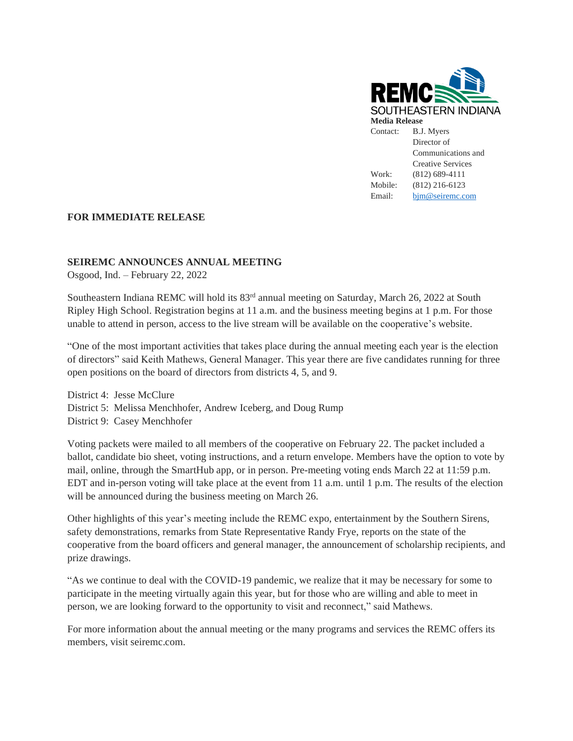

## **FOR IMMEDIATE RELEASE**

## **SEIREMC ANNOUNCES ANNUAL MEETING**

Osgood, Ind. – February 22, 2022

Southeastern Indiana REMC will hold its 83<sup>rd</sup> annual meeting on Saturday, March 26, 2022 at South Ripley High School. Registration begins at 11 a.m. and the business meeting begins at 1 p.m. For those unable to attend in person, access to the live stream will be available on the cooperative's website.

"One of the most important activities that takes place during the annual meeting each year is the election of directors" said Keith Mathews, General Manager. This year there are five candidates running for three open positions on the board of directors from districts 4, 5, and 9.

District 4: Jesse McClure District 5: Melissa Menchhofer, Andrew Iceberg, and Doug Rump District 9: Casey Menchhofer

Voting packets were mailed to all members of the cooperative on February 22. The packet included a ballot, candidate bio sheet, voting instructions, and a return envelope. Members have the option to vote by mail, online, through the SmartHub app, or in person. Pre-meeting voting ends March 22 at 11:59 p.m. EDT and in-person voting will take place at the event from 11 a.m. until 1 p.m. The results of the election will be announced during the business meeting on March 26.

Other highlights of this year's meeting include the REMC expo, entertainment by the Southern Sirens, safety demonstrations, remarks from State Representative Randy Frye, reports on the state of the cooperative from the board officers and general manager, the announcement of scholarship recipients, and prize drawings.

"As we continue to deal with the COVID-19 pandemic, we realize that it may be necessary for some to participate in the meeting virtually again this year, but for those who are willing and able to meet in person, we are looking forward to the opportunity to visit and reconnect," said Mathews.

For more information about the annual meeting or the many programs and services the REMC offers its members, visit seiremc.com.